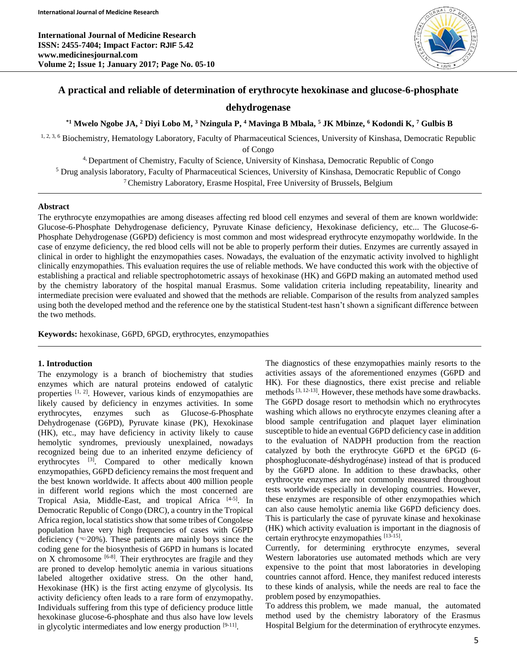**International Journal of Medicine Research ISSN: 2455-7404; Impact Factor: RJIF 5.42 www.medicinesjournal.com Volume 2; Issue 1; January 2017; Page No. 05-10**



# **A practical and reliable of determination of erythrocyte hexokinase and glucose-6-phosphate**

## **dehydrogenase**

**\*1 Mwelo Ngobe JA, <sup>2</sup> Diyi Lobo M, <sup>3</sup> Nzingula P, <sup>4</sup> Mavinga B Mbala, <sup>5</sup> JK Mbinze, <sup>6</sup> Kodondi K, <sup>7</sup> Gulbis B**

1, 2, 3, 6 Biochemistry, Hematology Laboratory, Faculty of Pharmaceutical Sciences, University of Kinshasa, Democratic Republic

of Congo

4, Department of Chemistry, Faculty of Science, University of Kinshasa, Democratic Republic of Congo

<sup>5</sup> Drug analysis laboratory, Faculty of Pharmaceutical Sciences, University of Kinshasa, Democratic Republic of Congo

 $7$ Chemistry Laboratory, Erasme Hospital, Free University of Brussels, Belgium

### **Abstract**

The erythrocyte enzymopathies are among diseases affecting red blood cell enzymes and several of them are known worldwide: Glucose-6-Phosphate Dehydrogenase deficiency, Pyruvate Kinase deficiency, Hexokinase deficiency, etc... The Glucose-6- Phosphate Dehydrogenase (G6PD) deficiency is most common and most widespread erythrocyte enzymopathy worldwide. In the case of enzyme deficiency, the red blood cells will not be able to properly perform their duties. Enzymes are currently assayed in clinical in order to highlight the enzymopathies cases. Nowadays, the evaluation of the enzymatic activity involved to highlight clinically enzymopathies. This evaluation requires the use of reliable methods. We have conducted this work with the objective of establishing a practical and reliable spectrophotometric assays of hexokinase (HK) and G6PD making an automated method used by the chemistry laboratory of the hospital manual Erasmus. Some validation criteria including repeatability, linearity and intermediate precision were evaluated and showed that the methods are reliable. Comparison of the results from analyzed samples using both the developed method and the reference one by the statistical Student-test hasn't shown a significant difference between the two methods.

**Keywords:** hexokinase, G6PD, 6PGD, erythrocytes, enzymopathies

## **1. Introduction**

The enzymology is a branch of biochemistry that studies enzymes which are natural proteins endowed of catalytic properties  $[1, 2]$ . However, various kinds of enzymopathies are likely caused by deficiency in enzymes activities. In some erythrocytes, enzymes such as Glucose-6-Phosphate Dehydrogenase (G6PD), Pyruvate kinase (PK), Hexokinase (HK), etc., may have deficiency in activity likely to cause hemolytic syndromes, previously unexplained, nowadays recognized being due to an inherited enzyme deficiency of erythrocytes [3]. Compared to other medically known enzymopathies, G6PD deficiency remains the most frequent and the best known worldwide. It affects about 400 million people in different world regions which the most concerned are Tropical Asia, Middle-East, and tropical Africa [4-5]. In Democratic Republic of Congo (DRC), a country in the Tropical Africa region, local statistics show that some tribes of Congolese population have very high frequencies of cases with G6PD deficiency ( $\approx$ 20%). These patients are mainly boys since the coding gene for the biosynthesis of G6PD in humans is located on X chromosome  $[6-8]$ . Their erythrocytes are fragile and they are proned to develop hemolytic anemia in various situations labeled altogether oxidative stress. On the other hand, Hexokinase (HK) is the first acting enzyme of glycolysis. Its activity deficiency often leads to a rare form of enzymopathy. Individuals suffering from this type of deficiency produce little hexokinase glucose-6-phosphate and thus also have low levels in glycolytic intermediates and low energy production  $[9-11]$ .

The diagnostics of these enzymopathies mainly resorts to the activities assays of the aforementioned enzymes (G6PD and HK). For these diagnostics, there exist precise and reliable methods [3, 12-13]. However, these methods have some drawbacks. The G6PD dosage resort to methodsin which no erythrocytes washing which allows no erythrocyte enzymes cleaning after a blood sample centrifugation and plaquet layer elimination susceptible to hide an eventual G6PD deficiency case in addition to the evaluation of NADPH production from the reaction catalyzed by both the erythrocyte G6PD et the 6PGD (6 phosphogluconate-déshydrogénase) instead of that is produced by the G6PD alone. In addition to these drawbacks, other erythrocyte enzymes are not commonly measured throughout tests worldwide especially in developing countries. However, these enzymes are responsible of other enzymopathies which can also cause hemolytic anemia like G6PD deficiency does. This is particularly the case of pyruvate kinase and hexokinase (HK) which activity evaluation is important in the diagnosis of certain erythrocyte enzymopathies [13-15].

Currently, for determining erythrocyte enzymes, several Western laboratories use automated methods which are very expensive to the point that most laboratories in developing countries cannot afford. Hence, they manifest reduced interests to these kinds of analysis, while the needs are real to face the problem posed by enzymopathies.

To address this problem, we made manual, the automated method used by the chemistry laboratory of the Erasmus Hospital Belgium for the determination of erythrocyte enzymes.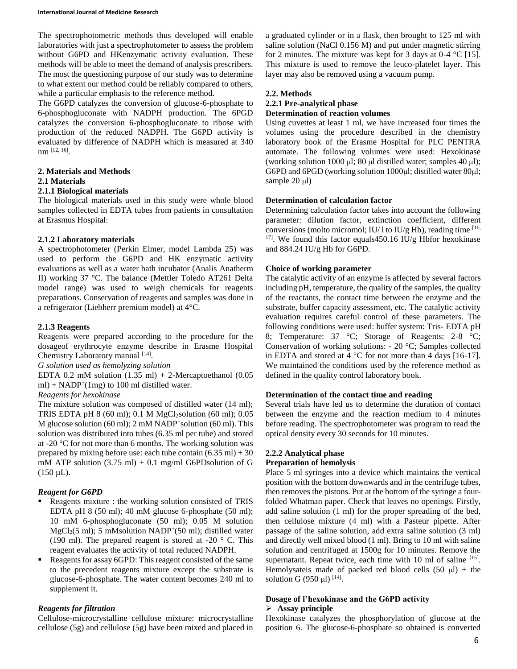#### **International Journal of Medicine Research**

The spectrophotometric methods thus developed will enable laboratories with just a spectrophotometer to assess the problem without G6PD and HKenzymatic activity evaluation. These methods will be able to meet the demand of analysis prescribers. The most the questioning purpose of our study was to determine to what extent our method could be reliably compared to others, while a particular emphasis to the reference method.

The G6PD catalyzes the conversion of glucose-6-phosphate to 6-phosphogluconate with NADPH production. The 6PGD catalyzes the conversion 6-phosphogluconate to ribose with production of the reduced NADPH. The G6PD activity is evaluated by difference of NADPH which is measured at 340 nm [12, 16] .

# **2. Materials and Methods**

#### **2.1 Materials**

### **2.1.1 Biological materials**

The biological materials used in this study were whole blood samples collected in EDTA tubes from patients in consultation at Erasmus Hospital:

## **2.1.2 Laboratory materials**

A spectrophotometer (Perkin Elmer, model Lambda 25) was used to perform the G6PD and HK enzymatic activity evaluations as well as a water bath incubator (Analis Anatherm II) working 37 °C. The balance (Mettler Toledo AT261 Delta model range) was used to weigh chemicals for reagents preparations. Conservation of reagents and samples was done in a refrigerator (Liebherr premium model) at 4°C.

### **2.1.3 Reagents**

Reagents were prepared according to the procedure for the dosageof erythrocyte enzyme describe in Erasme Hospital Chemistry Laboratory manual [14].

*G solution used as hemolyzing solution*

EDTA 0.2 mM solution  $(1.35 \text{ ml}) + 2$ -Mercaptoethanol  $(0.05$ ml) +  $NADP^{+}(1mg)$  to 100 ml distilled water.

### *Reagents for hexokinase*

The mixture solution was composed of distilled water (14 ml); TRIS EDTA pH 8 (60 ml); 0.1 M MgCl<sub>2</sub>solution (60 ml); 0.05 M glucose solution  $(60 \text{ ml})$ ;  $2 \text{ mM NADP}^+$ solution  $(60 \text{ ml})$ . This solution was distributed into tubes (6.35 ml per tube) and stored at -20 °C for not more than 6 months. The working solution was prepared by mixing before use: each tube contain  $(6.35 \text{ ml}) + 30$ mM ATP solution  $(3.75 \text{ ml}) + 0.1 \text{ mg/ml}$  G6PDsolution of G  $(150 \mu L).$ 

## *Reagent for G6PD*

- Reagents mixture : the working solution consisted of TRIS EDTA pH 8 (50 ml); 40 mM glucose 6-phosphate (50 ml); 10 mM 6-phosphogluconate (50 ml); 0.05 M solution MgCl<sub>2</sub>(5 ml); 5 mMsolution NADP<sup>+</sup>(50 ml); distilled water (190 ml). The prepared reagent is stored at -20  $\degree$  C. This reagent evaluates the activity of total reduced NADPH.
- Reagents for assay 6GPD: This reagent consisted of the same to the precedent reagents mixture except the substrate is glucose-6-phosphate. The water content becomes 240 ml to supplement it.

## *Reagents for filtration*

Cellulose-microcrystalline cellulose mixture: microcrystalline cellulose (5g) and cellulose (5g) have been mixed and placed in a graduated cylinder or in a flask, then brought to 125 ml with saline solution (NaCl 0.156 M) and put under magnetic stirring for 2 minutes. The mixture was kept for 3 days at  $0-4$  °C [15]. This mixture is used to remove the leuco-platelet layer. This layer may also be removed using a vacuum pump.

#### **2.2. Methods**

#### **2.2.1 Pre-analytical phase Determination of reaction volumes**

Using cuvettes at least 1 ml, we have increased four times the volumes using the procedure described in the chemistry laboratory book of the Erasme Hospital for PLC PENTRA automate. The following volumes were used: Hexokinase (working solution 1000  $\mu$ l; 80  $\mu$ l distilled water; samples 40  $\mu$ l); G6PD and 6PGD (working solution  $1000\mu$ l; distilled water  $80\mu$ l; sample  $20 \mu l$ )

### **Determination of calculation factor**

Determining calculation factor takes into account the following parameter: dilution factor, extinction coefficient, different conversions (molto micromol; IU/1 to IU/g Hb), reading time  $^{[16]}$  $17$ ]. We found this factor equals 450.16 IU/g Hbfor hexokinase and 884.24 IU/g Hb for G6PD.

### **Choice of working parameter**

The catalytic activity of an enzyme is affected by several factors including pH, temperature, the quality of the samples, the quality of the reactants, the contact time between the enzyme and the substrate, buffer capacity assessment, etc. The catalytic activity evaluation requires careful control of these parameters. The following conditions were used: buffer system: Tris- EDTA pH 8; Temperature: 37 °C; Storage of Reagents: 2-8 °C; Conservation of working solutions: - 20 °C; Samples collected in EDTA and stored at 4 °C for not more than 4 days [16-17]. We maintained the conditions used by the reference method as defined in the quality control laboratory book.

## **Determination of the contact time and reading**

Several trials have led us to determine the duration of contact between the enzyme and the reaction medium to 4 minutes before reading. The spectrophotometer was program to read the optical density every 30 seconds for 10 minutes.

## **2.2.2 Analytical phase**

#### **Preparation of hemolysis**

Place 5 ml syringes into a device which maintains the vertical position with the bottom downwards and in the centrifuge tubes, then removes the pistons. Put at the bottom of the syringe a fourfolded Whatman paper. Check that leaves no openings. Firstly, add saline solution (1 ml) for the proper spreading of the bed, then cellulose mixture (4 ml) with a Pasteur pipette. After passage of the saline solution, add extra saline solution (3 ml) and directly well mixed blood (1 ml). Bring to 10 ml with saline solution and centrifuged at 1500g for 10 minutes. Remove the supernatant. Repeat twice, each time with 10 ml of saline [15]. Hemolysateis made of packed red blood cells  $(50 \text{ µl})$  + the solution G (950  $\mu$ l) <sup>[14]</sup>.

#### **Dosage of l'hexokinase and the G6PD activity Assay principle**

Hexokinase catalyzes the phosphorylation of glucose at the position 6. The glucose-6-phosphate so obtained is converted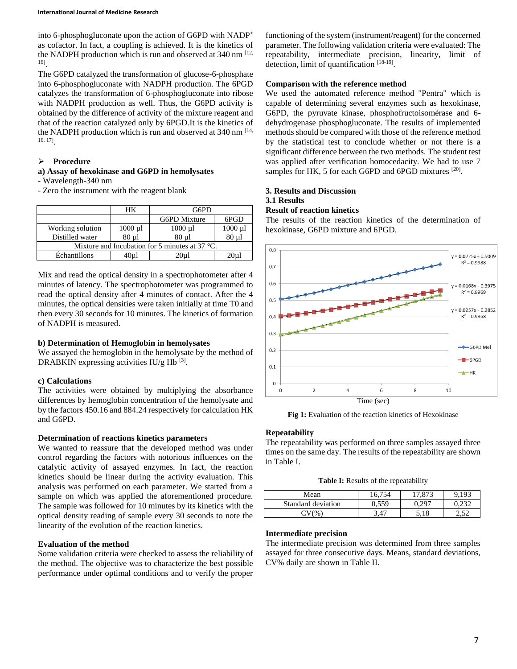into 6-phosphogluconate upon the action of G6PD with NADP<sup>+</sup> as cofactor. In fact, a coupling is achieved. It is the kinetics of the NADPH production which is run and observed at  $340$  nm  $^{[12]}$ , 16] .

The G6PD catalyzed the transformation of glucose-6-phosphate into 6-phosphogluconate with NADPH production. The 6PGD catalyzes the transformation of 6-phosphogluconate into ribose with NADPH production as well. Thus, the G6PD activity is obtained by the difference of activity of the mixture reagent and that of the reaction catalyzed only by 6PGD.It is the kinetics of the NADPH production which is run and observed at  $340$  nm  $^{[14]}$ , 16, 17] .

### **Procedure**

#### **a) Assay of hexokinase and G6PD in hemolysates**

- Wavelength-340 nm

- Zero the instrument with the reagent blank

|                                                          | HК           | G6PD                |                |  |
|----------------------------------------------------------|--------------|---------------------|----------------|--|
|                                                          |              | <b>G6PD</b> Mixture | 6PGD           |  |
| Working solution                                         | $1000$ $\mu$ | $1000$ $\mu$        | $1000$ $\mu$ l |  |
| Distilled water                                          | $80 \mu l$   | $80 \mu l$          | $80 \mu l$     |  |
| Mixture and Incubation for 5 minutes at 37 $^{\circ}$ C. |              |                     |                |  |
| Echantillons                                             | 40ul         | 20ul                | 20ul           |  |

Mix and read the optical density in a spectrophotometer after 4 minutes of latency. The spectrophotometer was programmed to read the optical density after 4 minutes of contact. After the 4 minutes, the optical densities were taken initially at time T0 and then every 30 seconds for 10 minutes. The kinetics of formation of NADPH is measured.

#### **b) Determination of Hemoglobin in hemolysates**

We assayed the hemoglobin in the hemolysate by the method of DRABKIN expressing activities IU/g Hb $^{[3]}$ .

## **c) Calculations**

The activities were obtained by multiplying the absorbance differences by hemoglobin concentration of the hemolysate and by the factors 450.16 and 884.24 respectively for calculation HK and G6PD.

#### **Determination of reactions kinetics parameters**

We wanted to reassure that the developed method was under control regarding the factors with notorious influences on the catalytic activity of assayed enzymes. In fact, the reaction kinetics should be linear during the activity evaluation. This analysis was performed on each parameter. We started from a sample on which was applied the aforementioned procedure. The sample was followed for 10 minutes by its kinetics with the optical density reading of sample every 30 seconds to note the linearity of the evolution of the reaction kinetics.

## **Evaluation of the method**

Some validation criteria were checked to assess the reliability of the method. The objective was to characterize the best possible performance under optimal conditions and to verify the proper

functioning of the system (instrument/reagent) for the concerned parameter. The following validation criteria were evaluated: The repeatability, intermediate precision, linearity, limit of detection, limit of quantification [18-19].

## **Comparison with the reference method**

We used the automated reference method "Pentra" which is capable of determining several enzymes such as hexokinase, G6PD, the pyruvate kinase, phosphofructoisomérase and 6 dehydrogenase phosphogluconate. The results of implemented methods should be compared with those of the reference method by the statistical test to conclude whether or not there is a significant difference between the two methods. The student test was applied after verification homocedacity. We had to use 7 samples for HK, 5 for each G6PD and 6PGD mixtures [20].

### **3. Results and Discussion**

## **3.1 Results**

## **Result of reaction kinetics**

The results of the reaction kinetics of the determination of hexokinase, G6PD mixture and 6PGD.



**Fig 1:** Evaluation of the reaction kinetics of Hexokinase

#### **Repeatability**

The repeatability was performed on three samples assayed three times on the same day. The results of the repeatability are shown in Table I.

**Table I:** Results of the repeatability

| Mean               | 16.754 | .873<br>17 | 9.193 |
|--------------------|--------|------------|-------|
| Standard deviation | 550    | 207        |       |
| $\rm{CV}(%$        | 3.47   | 18         | . 50  |

## **Intermediate precision**

The intermediate precision was determined from three samples assayed for three consecutive days. Means, standard deviations, CV% daily are shown in Table II.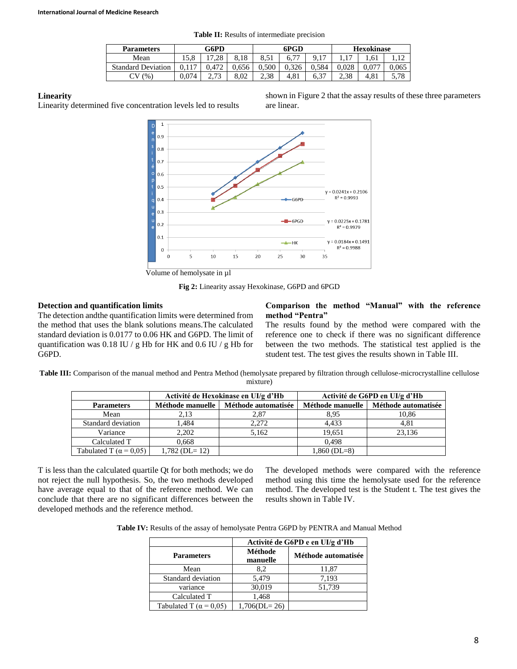| <b>Parameters</b>         | G6PD  |               | 6PGD  |       | <b>Hexokinase</b> |       |       |      |       |
|---------------------------|-------|---------------|-------|-------|-------------------|-------|-------|------|-------|
| Mean                      | 15.8  |               | 8.18  |       | 77<br>6.77        | 9.17  |       |      |       |
| <b>Standard Deviation</b> | 0.117 | 0.472         | 0.656 | 0.500 | 0.326             | 0.584 | 0.028 |      | 0.065 |
| ΩV<br>$\frac{1}{2}$ .     | 0,074 | า 72<br>، ، ، | 8.02  | 2.38  | 4.81              | 6,37  | 2.38  | 4.81 | 5,78  |

**Table II:** Results of intermediate precision

#### **Linearity**

Linearity determined five concentration levels led to results

shown in Figure 2 that the assay results of these three parameters are linear.



Volume of hemolysate in µl

**Fig 2:** Linearity assay Hexokinase, G6PD and 6PGD

## **Detection and quantification limits**

The detection andthe quantification limits were determined from the method that uses the blank solutions means.The calculated standard deviation is 0.0177 to 0.06 HK and G6PD. The limit of quantification was  $0.18$  IU / g Hb for HK and  $0.6$  IU / g Hb for G6PD.

#### **Comparison the method "Manual" with the reference method "Pentra"**

The results found by the method were compared with the reference one to check if there was no significant difference between the two methods. The statistical test applied is the student test. The test gives the results shown in Table III.

**Table III:** Comparison of the manual method and Pentra Method (hemolysate prepared by filtration through cellulose-microcrystalline cellulose mixture)

|                                |                  | Activité de Hexokinase en UI/g d'Hb    | Activité de G6PD en UI/g d'Hb |                     |  |
|--------------------------------|------------------|----------------------------------------|-------------------------------|---------------------|--|
| <b>Parameters</b>              |                  | Méthode manuelle   Méthode automatisée | Méthode manuelle              | Méthode automatisée |  |
| Mean                           | 2,13             | 2,87                                   | 8.95                          | 10,86               |  |
| Standard deviation             | 1.484            | 2.272                                  | 4.433                         | 4.81                |  |
| Variance                       | 2,202            | 5.162                                  | 19,651                        | 23.136              |  |
| Calculated T                   | 0.668            |                                        | 0.498                         |                     |  |
| Tabulated T ( $\alpha$ = 0,05) | $1,782$ (DL= 12) |                                        | $1,860$ (DL=8)                |                     |  |

T is less than the calculated quartile Qt for both methods; we do not reject the null hypothesis. So, the two methods developed have average equal to that of the reference method. We can conclude that there are no significant differences between the developed methods and the reference method.

The developed methods were compared with the reference method using this time the hemolysate used for the reference method. The developed test is the Student t. The test gives the results shown in Table IV.

**Table IV:** Results of the assay of hemolysate Pentra G6PD by PENTRA and Manual Method

|                                | Activité de G6PD e en UI/g d'Hb |                     |  |
|--------------------------------|---------------------------------|---------------------|--|
| <b>Parameters</b>              | Méthode<br>manuelle             | Méthode automatisée |  |
| Mean                           | 8,2                             | 11,87               |  |
| Standard deviation             | 5,479                           | 7,193               |  |
| variance                       | 30,019                          | 51,739              |  |
| Calculated T                   | 1,468                           |                     |  |
| Tabulated T ( $\alpha$ = 0,05) | $1,706(DL=26)$                  |                     |  |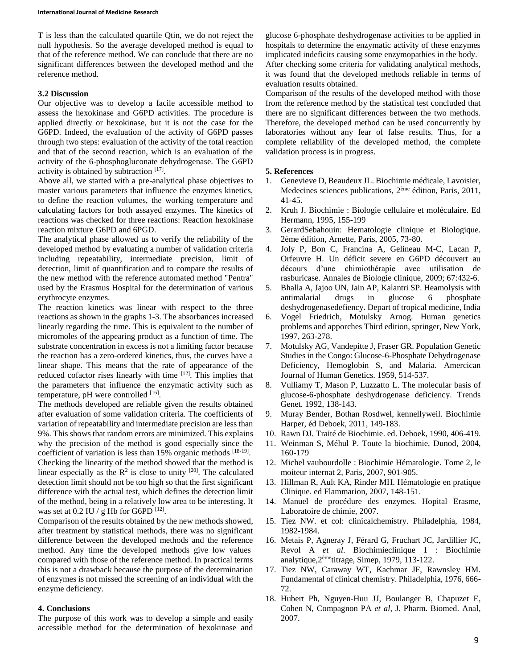T is less than the calculated quartile Qtin, we do not reject the null hypothesis. So the average developed method is equal to that of the reference method. We can conclude that there are no significant differences between the developed method and the reference method.

#### **3.2 Discussion**

Our objective was to develop a facile accessible method to assess the hexokinase and G6PD activities. The procedure is applied directly or hexokinase, but it is not the case for the G6PD. Indeed, the evaluation of the activity of G6PD passes through two steps: evaluation of the activity of the total reaction and that of the second reaction, which is an evaluation of the activity of the 6-phosphogluconate dehydrogenase. The G6PD activity is obtained by subtraction [17].

Above all, we started with a pre-analytical phase objectives to master various parameters that influence the enzymes kinetics, to define the reaction volumes, the working temperature and calculating factors for both assayed enzymes. The kinetics of reactions was checked for three reactions: Reaction hexokinase reaction mixture G6PD and 6PGD.

The analytical phase allowed us to verify the reliability of the developed method by evaluating a number of validation criteria including repeatability, intermediate precision, limit of detection, limit of quantification and to compare the results of the new method with the reference automated method "Pentra" used by the Erasmus Hospital for the determination of various erythrocyte enzymes.

The reaction kinetics was linear with respect to the three reactions as shown in the graphs 1-3. The absorbances increased linearly regarding the time. This is equivalent to the number of micromoles of the appearing product as a function of time. The substrate concentration in excess is not a limiting factor because the reaction has a zero-ordered kinetics, thus, the curves have a linear shape. This means that the rate of appearance of the reduced cofactor rises linearly with time [12]. This implies that the parameters that influence the enzymatic activity such as temperature, pH were controlled [16].

The methods developed are reliable given the results obtained after evaluation of some validation criteria. The coefficients of variation of repeatability and intermediate precision are less than 9%. This shows that random errors are minimized. This explains why the precision of the method is good especially since the coefficient of variation is less than  $15\%$  organic methods  $^{[18-19]}$ . Checking the linearity of the method showed that the method is linear especially as the  $\mathbb{R}^2$  is close to unity <sup>[20]</sup>. The calculated detection limit should not be too high so that the first significant difference with the actual test, which defines the detection limit of the method, being in a relatively low area to be interesting. It was set at  $0.2$  IU / g Hb for G6PD  $^{[12]}$ .

Comparison of the results obtained by the new methods showed, after treatment by statistical methods, there was no significant difference between the developed methods and the reference method. Any time the developed methods give low values compared with those of the reference method. In practical terms this is not a drawback because the purpose of the determination of enzymes is not missed the screening of an individual with the enzyme deficiency.

#### **4. Conclusions**

The purpose of this work was to develop a simple and easily accessible method for the determination of hexokinase and glucose 6-phosphate deshydrogenase activities to be applied in hospitals to determine the enzymatic activity of these enzymes implicated indeficits causing some enzymopathies in the body. After checking some criteria for validating analytical methods, it was found that the developed methods reliable in terms of evaluation results obtained.

Comparison of the results of the developed method with those from the reference method by the statistical test concluded that there are no significant differences between the two methods. Therefore, the developed method can be used concurrently by laboratories without any fear of false results. Thus, for a complete reliability of the developed method, the complete validation process is in progress.

### **5. References**

- 1. Genevieve D, Beaudeux JL. Biochimie médicale, Lavoisier, Medecines sciences publications, 2ème édition, Paris, 2011, 41-45.
- 2. Kruh J. Biochimie : Biologie cellulaire et moléculaire. Ed Hermann, 1995, 155-199
- 3. GerardSebahouin: Hematologie clinique et Biologique. 2ème édition, Arnette, Paris, 2005, 73-80.
- 4. Joly P, Bon C, Francina A, Gelineau M-C, Lacan P, Orfeuvre H. Un déficit severe en G6PD découvert au décours d'une chimiothérapie avec utilisation de rasburicase. Annales de Biologie clinique, 2009; 67:432-6.
- 5. Bhalla A, Jajoo UN, Jain AP, Kalantri SP. Heamolysis with antimalarial drugs in glucose 6 phosphate deshydrogenasedefiency. Depart of tropical medicine, India
- 6. Vogel Friedrich, Motulsky Arnog. Human genetics problems and apporches Third edition, springer, New York, 1997, 263-278.
- 7. Motulsky AG, Vandepitte J, Fraser GR. Population Genetic Studies in the Congo: Glucose-6-Phosphate Dehydrogenase Deficiency, Hemoglobin S, and Malaria. Amercican Journal of Human Genetics. 1959, 514-537.
- 8. Vulliamy T, Mason P, Luzzatto L. The molecular basis of glucose-6-phosphate deshydrogenase deficiency. Trends Genet. 1992, 138-143.
- 9. Muray Bender, Bothan Rosdwel, kennellyweil. Biochimie Harper, éd Deboek, 2011, 149-183.
- 10. Rawn DJ. Traité de Biochimie. ed. Deboek, 1990, 406-419.
- 11. Weinman S, Méhul P. Toute la biochimie, Dunod, 2004, 160-179
- 12. Michel vaubourdolle : Biochimie Hématologie. Tome 2, le moiteur internat 2, Paris, 2007, 901-905.
- 13. Hillman R, Ault KA, Rinder MH. Hématologie en pratique Clinique. ed Flammarion, 2007, 148-151.
- 14. Manuel de procédure des enzymes. Hopital Erasme, Laboratoire de chimie, 2007.
- 15. Tiez NW. et col: clinicalchemistry. Philadelphia, 1984, 1982-1984.
- 16. Metais P, Agneray J, Férard G, Fruchart JC, Jardillier JC, Revol A *et al*. Biochimieclinique 1 : Biochimie analytique,2èmetitrage, Simep, 1979, 113-122.
- 17. Tiez NW, Caraway WT, Kachmar JF, Rawnsley HM. Fundamental of clinical chemistry. Philadelphia, 1976, 666- 72.
- 18. Hubert Ph, Nguyen-Huu JJ, Boulanger B, Chapuzet E, Cohen N, Compagnon PA *et al*, J. Pharm. Biomed. Anal, 2007.